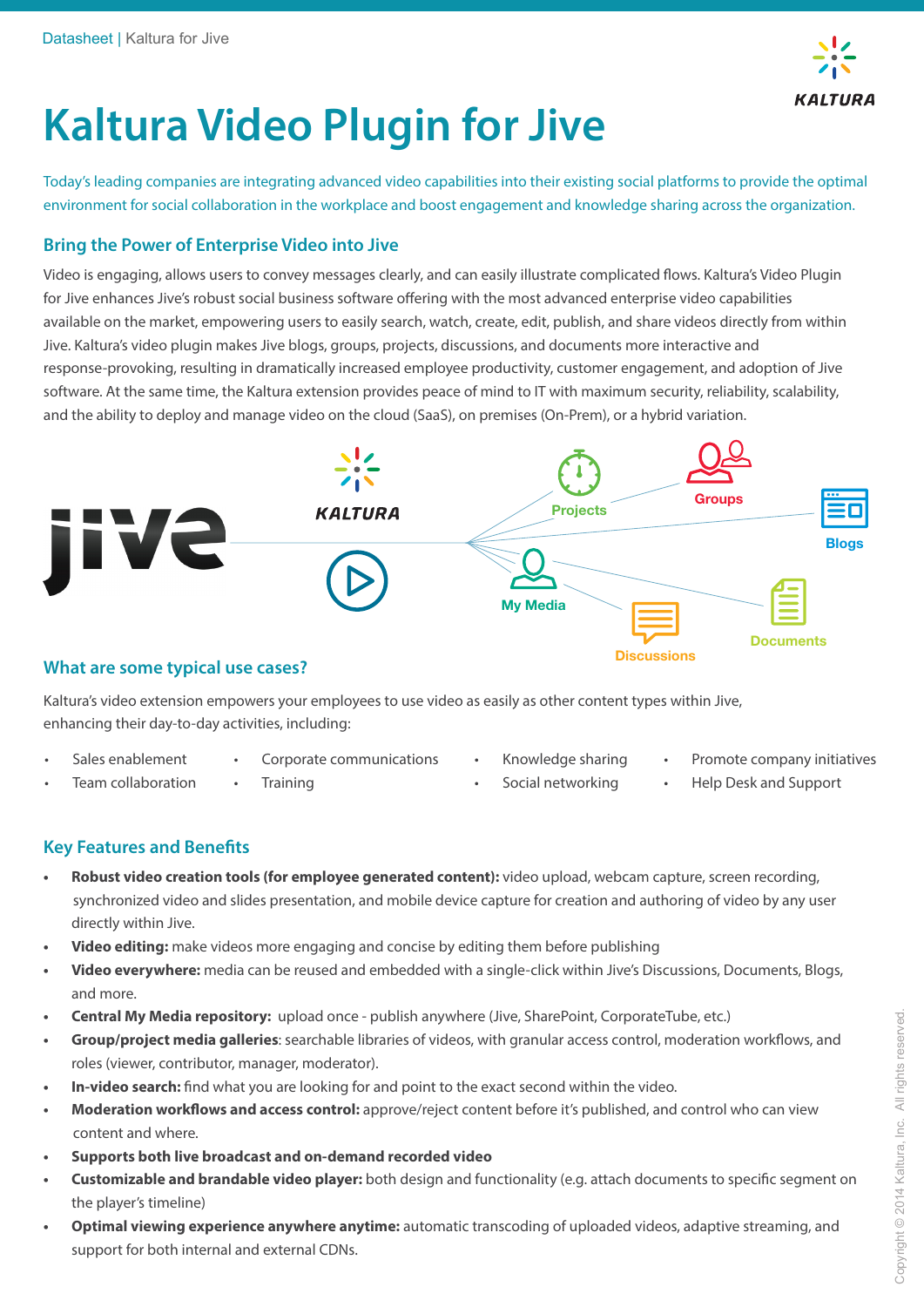

# **Kaltura Video Plugin for Jive**

Today's leading companies are integrating advanced video capabilities into their existing social platforms to provide the optimal environment for social collaboration in the workplace and boost engagement and knowledge sharing across the organization.

### **Bring the Power of Enterprise Video into Jive**

Video is engaging, allows users to convey messages clearly, and can easily illustrate complicated flows. Kaltura's Video Plugin for Jive enhances Jive's robust social business software offering with the most advanced enterprise video capabilities available on the market, empowering users to easily search, watch, create, edit, publish, and share videos directly from within Jive. Kaltura's video plugin makes Jive blogs, groups, projects, discussions, and documents more interactive and response-provoking, resulting in dramatically increased employee productivity, customer engagement, and adoption of Jive software. At the same time, the Kaltura extension provides peace of mind to IT with maximum security, reliability, scalability, and the ability to deploy and manage video on the cloud (SaaS), on premises (On-Prem), or a hybrid variation.



#### **What are some typical use cases?**

Kaltura's video extension empowers your employees to use video as easily as other content types within Jive, enhancing their day-to-day activities, including:

• Sales enablement

• Team collaboration

• Corporate communications

**Training** 

- Knowledge sharing Social networking
- Promote company initiatives
- Help Desk and Support

## **Key Features and Benefits**

- **Robust video creation tools (for employee generated content):** video upload, webcam capture, screen recording, synchronized video and slides presentation, and mobile device capture for creation and authoring of video by any user directly within Jive.
- **Video editing:** make videos more engaging and concise by editing them before publishing
- **Video everywhere:** media can be reused and embedded with a single-click within Jive's Discussions, Documents, Blogs, and more.
- **Central My Media repository:** upload once publish anywhere (Jive, SharePoint, CorporateTube, etc.)
- **Group/project media galleries**: searchable libraries of videos, with granular access control, moderation workflows, and roles (viewer, contributor, manager, moderator).
- **In-video search:** find what you are looking for and point to the exact second within the video.
- Moderation workflows and access control: approve/reject content before it's published, and control who can view content and where.
- **Supports both live broadcast and on-demand recorded video**
- **Customizable and brandable video player:** both design and functionality (e.g. attach documents to specific segment on the player's timeline)
- **Optimal viewing experience anywhere anytime:** automatic transcoding of uploaded videos, adaptive streaming, and support for both internal and external CDNs.